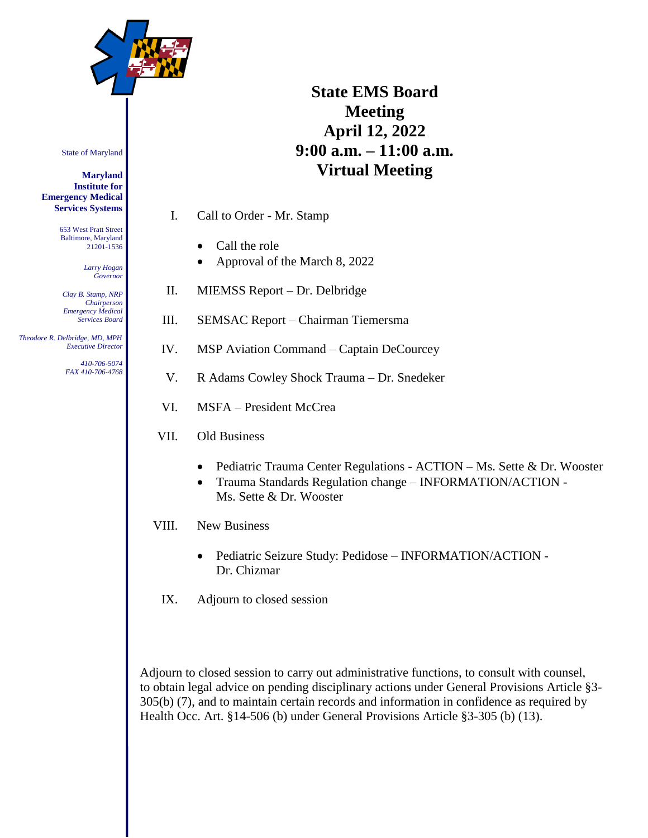

# **State EMS Board Meeting April 12, 2022 9:00 a.m. – 11:00 a.m. Virtual Meeting**

I. Call to Order - Mr. Stamp

- Call the role
- Approval of the March 8, 2022
- II. MIEMSS Report Dr. Delbridge
- III. SEMSAC Report Chairman Tiemersma
- IV. MSP Aviation Command Captain DeCourcey
- V. R Adams Cowley Shock Trauma Dr. Snedeker
- VI. MSFA President McCrea
- VII. Old Business
	- Pediatric Trauma Center Regulations ACTION Ms. Sette & Dr. Wooster
	- Trauma Standards Regulation change INFORMATION/ACTION Ms. Sette & Dr. Wooster

VIII. New Business

- Pediatric Seizure Study: Pedidose INFORMATION/ACTION -Dr. Chizmar
- IX. Adjourn to closed session

Adjourn to closed session to carry out administrative functions, to consult with counsel, to obtain legal advice on pending disciplinary actions under General Provisions Article §3- 305(b) (7), and to maintain certain records and information in confidence as required by Health Occ. Art. §14-506 (b) under General Provisions Article §3-305 (b) (13).

State of Maryland

**Maryland Institute for Emergency Medical Services Systems**

> 653 West Pratt Street Baltimore, Maryland 21201-1536

> > *Larry Hogan Governor*

*Clay B. Stamp, NRP Chairperson Emergency Medical Services Board*

 *Theodore R. Delbridge, MD, MPH Executive Director*

> *410-706-5074 FAX 410-706-4768*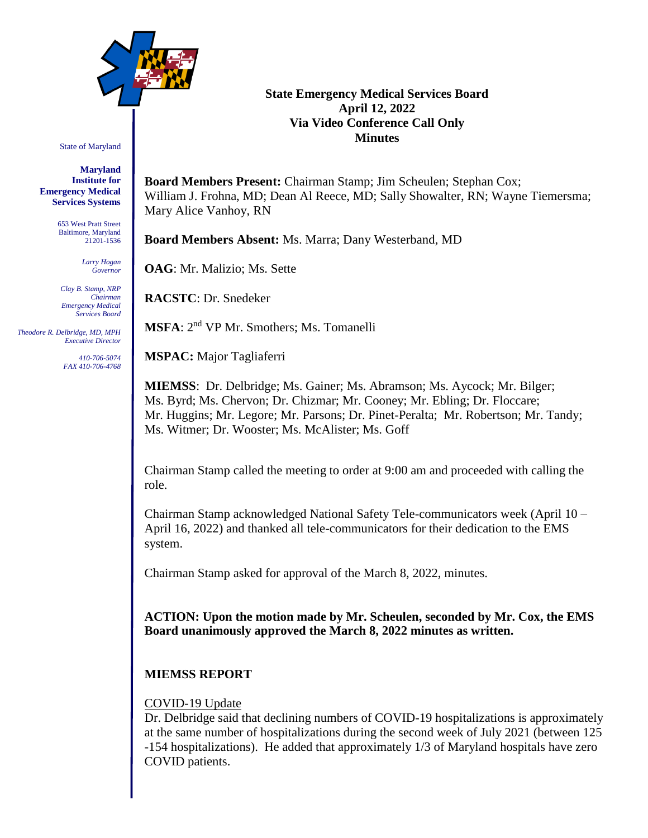

State of Maryland

**Maryland Institute for Emergency Medical Services Systems**

> 653 West Pratt Street Baltimore, Maryland 21201-1536

> > *Larry Hogan Governor*

*Clay B. Stamp, NRP Chairman Emergency Medical Services Board*

 *Theodore R. Delbridge, MD, MPH Executive Director*

> *410-706-5074 FAX 410-706-4768*

### **State Emergency Medical Services Board April 12, 2022 Via Video Conference Call Only Minutes**

**Board Members Present:** Chairman Stamp; Jim Scheulen; Stephan Cox; William J. Frohna, MD; Dean Al Reece, MD; Sally Showalter, RN; Wayne Tiemersma; Mary Alice Vanhoy, RN

**Board Members Absent:** Ms. Marra; Dany Westerband, MD

**OAG**: Mr. Malizio; Ms. Sette

**RACSTC**: Dr. Snedeker

**MSFA**: 2 nd VP Mr. Smothers; Ms. Tomanelli

**MSPAC:** Major Tagliaferri

**MIEMSS**: Dr. Delbridge; Ms. Gainer; Ms. Abramson; Ms. Aycock; Mr. Bilger; Ms. Byrd; Ms. Chervon; Dr. Chizmar; Mr. Cooney; Mr. Ebling; Dr. Floccare; Mr. Huggins; Mr. Legore; Mr. Parsons; Dr. Pinet-Peralta; Mr. Robertson; Mr. Tandy; Ms. Witmer; Dr. Wooster; Ms. McAlister; Ms. Goff

Chairman Stamp called the meeting to order at 9:00 am and proceeded with calling the role.

Chairman Stamp acknowledged National Safety Tele-communicators week (April 10 – April 16, 2022) and thanked all tele-communicators for their dedication to the EMS system.

Chairman Stamp asked for approval of the March 8, 2022, minutes.

**ACTION: Upon the motion made by Mr. Scheulen, seconded by Mr. Cox, the EMS Board unanimously approved the March 8, 2022 minutes as written.**

# **MIEMSS REPORT**

### COVID-19 Update

Dr. Delbridge said that declining numbers of COVID-19 hospitalizations is approximately at the same number of hospitalizations during the second week of July 2021 (between 125 -154 hospitalizations). He added that approximately 1/3 of Maryland hospitals have zero COVID patients.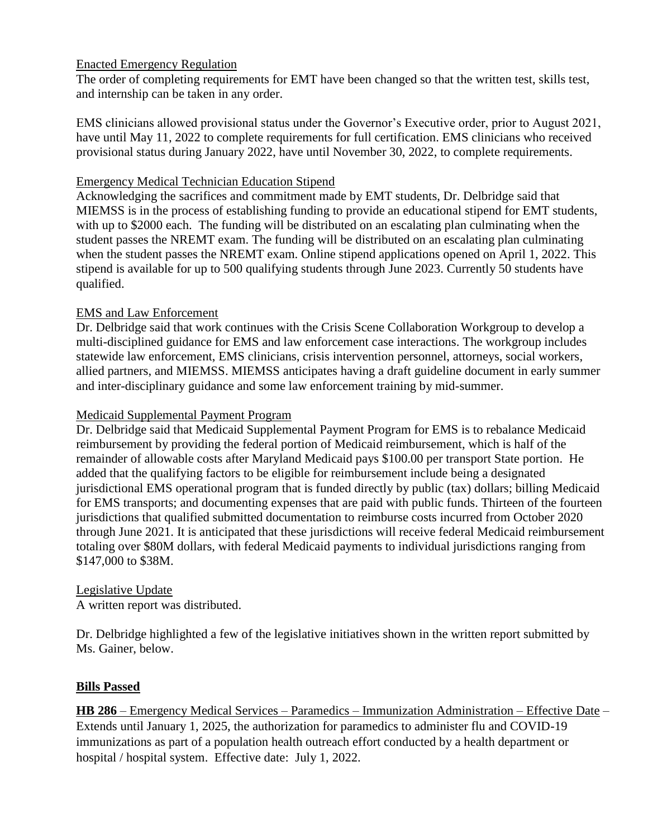# Enacted Emergency Regulation

The order of completing requirements for EMT have been changed so that the written test, skills test, and internship can be taken in any order.

EMS clinicians allowed provisional status under the Governor's Executive order, prior to August 2021, have until May 11, 2022 to complete requirements for full certification. EMS clinicians who received provisional status during January 2022, have until November 30, 2022, to complete requirements.

### Emergency Medical Technician Education Stipend

Acknowledging the sacrifices and commitment made by EMT students, Dr. Delbridge said that MIEMSS is in the process of establishing funding to provide an educational stipend for EMT students, with up to \$2000 each. The funding will be distributed on an escalating plan culminating when the student passes the NREMT exam. The funding will be distributed on an escalating plan culminating when the student passes the NREMT exam. Online stipend applications opened on April 1, 2022. This stipend is available for up to 500 qualifying students through June 2023. Currently 50 students have qualified.

### EMS and Law Enforcement

Dr. Delbridge said that work continues with the Crisis Scene Collaboration Workgroup to develop a multi-disciplined guidance for EMS and law enforcement case interactions. The workgroup includes statewide law enforcement, EMS clinicians, crisis intervention personnel, attorneys, social workers, allied partners, and MIEMSS. MIEMSS anticipates having a draft guideline document in early summer and inter-disciplinary guidance and some law enforcement training by mid-summer.

### Medicaid Supplemental Payment Program

Dr. Delbridge said that Medicaid Supplemental Payment Program for EMS is to rebalance Medicaid reimbursement by providing the federal portion of Medicaid reimbursement, which is half of the remainder of allowable costs after Maryland Medicaid pays \$100.00 per transport State portion. He added that the qualifying factors to be eligible for reimbursement include being a designated jurisdictional EMS operational program that is funded directly by public (tax) dollars; billing Medicaid for EMS transports; and documenting expenses that are paid with public funds. Thirteen of the fourteen jurisdictions that qualified submitted documentation to reimburse costs incurred from October 2020 through June 2021. It is anticipated that these jurisdictions will receive federal Medicaid reimbursement totaling over \$80M dollars, with federal Medicaid payments to individual jurisdictions ranging from \$147,000 to \$38M.

### Legislative Update

A written report was distributed.

Dr. Delbridge highlighted a few of the legislative initiatives shown in the written report submitted by Ms. Gainer, below.

### **Bills Passed**

**HB 286** – Emergency Medical Services – Paramedics – Immunization Administration – Effective Date – Extends until January 1, 2025, the authorization for paramedics to administer flu and COVID-19 immunizations as part of a population health outreach effort conducted by a health department or hospital / hospital system. Effective date: July 1, 2022.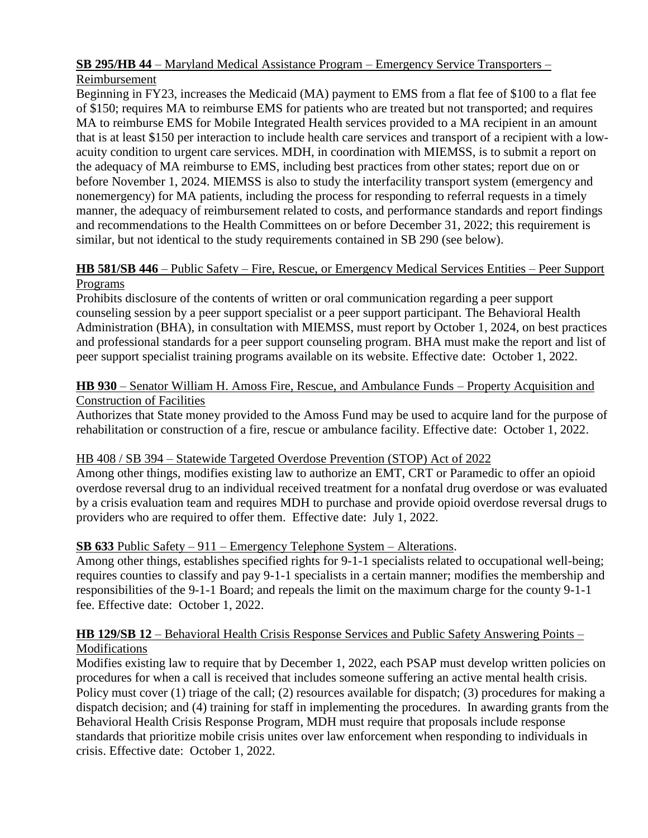# **SB 295/HB 44** – Maryland Medical Assistance Program – Emergency Service Transporters –

# Reimbursement

Beginning in FY23, increases the Medicaid (MA) payment to EMS from a flat fee of \$100 to a flat fee of \$150; requires MA to reimburse EMS for patients who are treated but not transported; and requires MA to reimburse EMS for Mobile Integrated Health services provided to a MA recipient in an amount that is at least \$150 per interaction to include health care services and transport of a recipient with a lowacuity condition to urgent care services. MDH, in coordination with MIEMSS, is to submit a report on the adequacy of MA reimburse to EMS, including best practices from other states; report due on or before November 1, 2024. MIEMSS is also to study the interfacility transport system (emergency and nonemergency) for MA patients, including the process for responding to referral requests in a timely manner, the adequacy of reimbursement related to costs, and performance standards and report findings and recommendations to the Health Committees on or before December 31, 2022; this requirement is similar, but not identical to the study requirements contained in SB 290 (see below).

# **HB 581/SB 446** – Public Safety – Fire, Rescue, or Emergency Medical Services Entities – Peer Support Programs

Prohibits disclosure of the contents of written or oral communication regarding a peer support counseling session by a peer support specialist or a peer support participant. The Behavioral Health Administration (BHA), in consultation with MIEMSS, must report by October 1, 2024, on best practices and professional standards for a peer support counseling program. BHA must make the report and list of peer support specialist training programs available on its website. Effective date: October 1, 2022.

# **HB 930** – Senator William H. Amoss Fire, Rescue, and Ambulance Funds – Property Acquisition and Construction of Facilities

Authorizes that State money provided to the Amoss Fund may be used to acquire land for the purpose of rehabilitation or construction of a fire, rescue or ambulance facility. Effective date: October 1, 2022.

# HB 408 / SB 394 – Statewide Targeted Overdose Prevention (STOP) Act of 2022

Among other things, modifies existing law to authorize an EMT, CRT or Paramedic to offer an opioid overdose reversal drug to an individual received treatment for a nonfatal drug overdose or was evaluated by a crisis evaluation team and requires MDH to purchase and provide opioid overdose reversal drugs to providers who are required to offer them. Effective date: July 1, 2022.

# **SB 633** Public Safety – 911 – Emergency Telephone System – Alterations.

Among other things, establishes specified rights for 9-1-1 specialists related to occupational well-being; requires counties to classify and pay 9-1-1 specialists in a certain manner; modifies the membership and responsibilities of the 9-1-1 Board; and repeals the limit on the maximum charge for the county 9-1-1 fee. Effective date: October 1, 2022.

# **HB 129/SB 12** – Behavioral Health Crisis Response Services and Public Safety Answering Points – Modifications

Modifies existing law to require that by December 1, 2022, each PSAP must develop written policies on procedures for when a call is received that includes someone suffering an active mental health crisis. Policy must cover (1) triage of the call; (2) resources available for dispatch; (3) procedures for making a dispatch decision; and (4) training for staff in implementing the procedures. In awarding grants from the Behavioral Health Crisis Response Program, MDH must require that proposals include response standards that prioritize mobile crisis unites over law enforcement when responding to individuals in crisis. Effective date: October 1, 2022.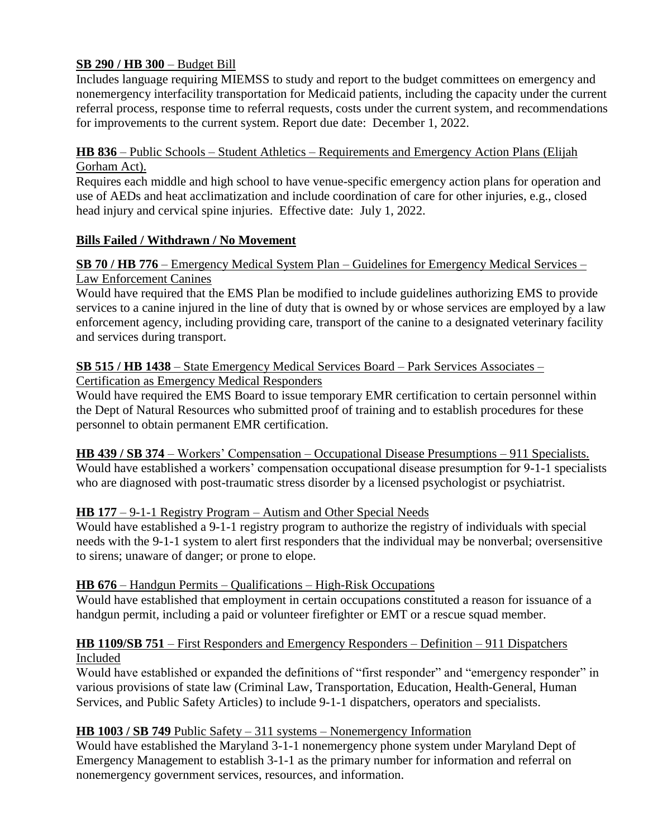# **SB 290 / HB 300** – Budget Bill

Includes language requiring MIEMSS to study and report to the budget committees on emergency and nonemergency interfacility transportation for Medicaid patients, including the capacity under the current referral process, response time to referral requests, costs under the current system, and recommendations for improvements to the current system. Report due date: December 1, 2022.

# **HB 836** – Public Schools – Student Athletics – Requirements and Emergency Action Plans (Elijah Gorham Act).

Requires each middle and high school to have venue-specific emergency action plans for operation and use of AEDs and heat acclimatization and include coordination of care for other injuries, e.g., closed head injury and cervical spine injuries. Effective date: July 1, 2022.

# **Bills Failed / Withdrawn / No Movement**

# **SB 70 / HB 776** – Emergency Medical System Plan – Guidelines for Emergency Medical Services – Law Enforcement Canines

Would have required that the EMS Plan be modified to include guidelines authorizing EMS to provide services to a canine injured in the line of duty that is owned by or whose services are employed by a law enforcement agency, including providing care, transport of the canine to a designated veterinary facility and services during transport.

#### **SB 515 / HB 1438** – State Emergency Medical Services Board – Park Services Associates – Certification as Emergency Medical Responders

Would have required the EMS Board to issue temporary EMR certification to certain personnel within the Dept of Natural Resources who submitted proof of training and to establish procedures for these personnel to obtain permanent EMR certification.

**HB 439 / SB 374** – Workers' Compensation – Occupational Disease Presumptions – 911 Specialists. Would have established a workers' compensation occupational disease presumption for 9-1-1 specialists who are diagnosed with post-traumatic stress disorder by a licensed psychologist or psychiatrist.

# **HB 177** – 9-1-1 Registry Program – Autism and Other Special Needs

Would have established a 9-1-1 registry program to authorize the registry of individuals with special needs with the 9-1-1 system to alert first responders that the individual may be nonverbal; oversensitive to sirens; unaware of danger; or prone to elope.

# **HB 676** – Handgun Permits – Qualifications – High-Risk Occupations

Would have established that employment in certain occupations constituted a reason for issuance of a handgun permit, including a paid or volunteer firefighter or EMT or a rescue squad member.

# **HB 1109/SB 751** – First Responders and Emergency Responders – Definition – 911 Dispatchers Included

Would have established or expanded the definitions of "first responder" and "emergency responder" in various provisions of state law (Criminal Law, Transportation, Education, Health-General, Human Services, and Public Safety Articles) to include 9-1-1 dispatchers, operators and specialists.

# **HB 1003 / SB 749** Public Safety – 311 systems – Nonemergency Information

Would have established the Maryland 3-1-1 nonemergency phone system under Maryland Dept of Emergency Management to establish 3-1-1 as the primary number for information and referral on nonemergency government services, resources, and information.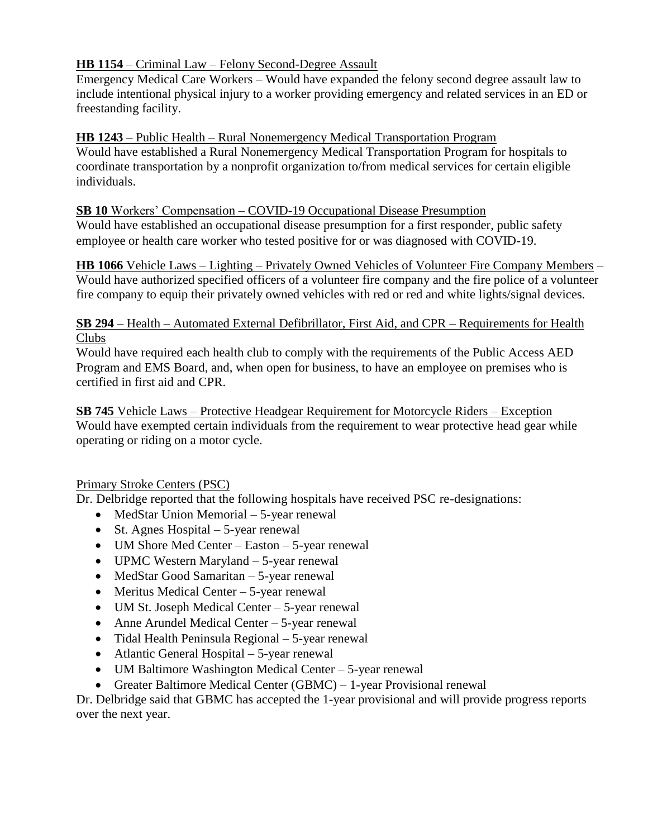# **HB 1154** – Criminal Law – Felony Second-Degree Assault

Emergency Medical Care Workers – Would have expanded the felony second degree assault law to include intentional physical injury to a worker providing emergency and related services in an ED or freestanding facility.

# **HB 1243** – Public Health – Rural Nonemergency Medical Transportation Program

Would have established a Rural Nonemergency Medical Transportation Program for hospitals to coordinate transportation by a nonprofit organization to/from medical services for certain eligible individuals.

# **SB 10** Workers' Compensation – COVID-19 Occupational Disease Presumption

Would have established an occupational disease presumption for a first responder, public safety employee or health care worker who tested positive for or was diagnosed with COVID-19.

**HB 1066** Vehicle Laws – Lighting – Privately Owned Vehicles of Volunteer Fire Company Members – Would have authorized specified officers of a volunteer fire company and the fire police of a volunteer fire company to equip their privately owned vehicles with red or red and white lights/signal devices.

### **SB 294** – Health – Automated External Defibrillator, First Aid, and CPR – Requirements for Health Clubs

Would have required each health club to comply with the requirements of the Public Access AED Program and EMS Board, and, when open for business, to have an employee on premises who is certified in first aid and CPR.

**SB 745** Vehicle Laws – Protective Headgear Requirement for Motorcycle Riders – Exception Would have exempted certain individuals from the requirement to wear protective head gear while operating or riding on a motor cycle.

# Primary Stroke Centers (PSC)

Dr. Delbridge reported that the following hospitals have received PSC re-designations:

- MedStar Union Memorial 5-year renewal
- St. Agnes Hospital  $-5$ -year renewal
- UM Shore Med Center Easton 5-year renewal
- UPMC Western Maryland 5-year renewal
- MedStar Good Samaritan 5-year renewal
- Meritus Medical Center  $-5$ -year renewal
- UM St. Joseph Medical Center 5-year renewal
- Anne Arundel Medical Center 5-year renewal
- Tidal Health Peninsula Regional 5-year renewal
- Atlantic General Hospital 5-year renewal
- UM Baltimore Washington Medical Center 5-year renewal
- Greater Baltimore Medical Center (GBMC) 1-year Provisional renewal

Dr. Delbridge said that GBMC has accepted the 1-year provisional and will provide progress reports over the next year.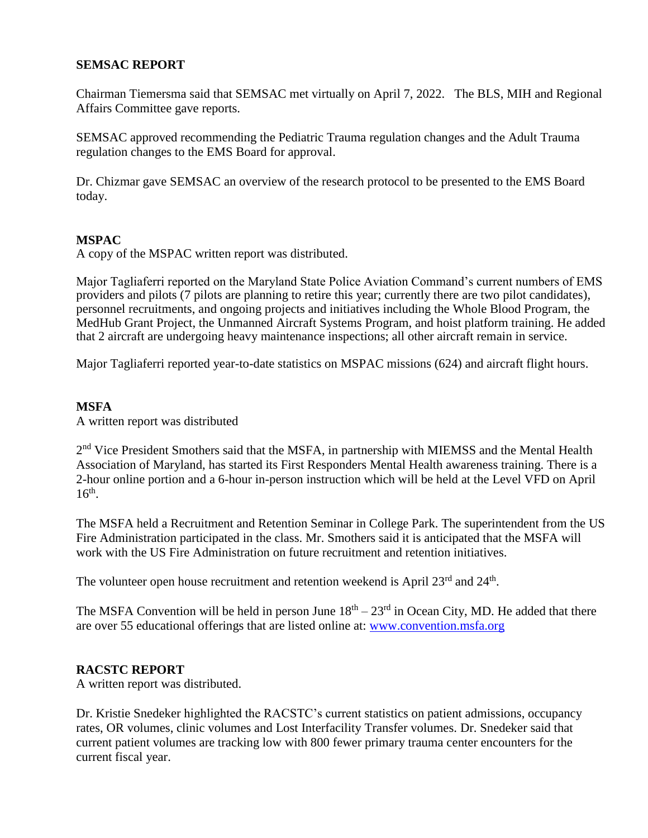### **SEMSAC REPORT**

Chairman Tiemersma said that SEMSAC met virtually on April 7, 2022. The BLS, MIH and Regional Affairs Committee gave reports.

SEMSAC approved recommending the Pediatric Trauma regulation changes and the Adult Trauma regulation changes to the EMS Board for approval.

Dr. Chizmar gave SEMSAC an overview of the research protocol to be presented to the EMS Board today.

### **MSPAC**

A copy of the MSPAC written report was distributed.

Major Tagliaferri reported on the Maryland State Police Aviation Command's current numbers of EMS providers and pilots (7 pilots are planning to retire this year; currently there are two pilot candidates), personnel recruitments, and ongoing projects and initiatives including the Whole Blood Program, the MedHub Grant Project, the Unmanned Aircraft Systems Program, and hoist platform training. He added that 2 aircraft are undergoing heavy maintenance inspections; all other aircraft remain in service.

Major Tagliaferri reported year-to-date statistics on MSPAC missions (624) and aircraft flight hours.

### **MSFA**

A written report was distributed

2<sup>nd</sup> Vice President Smothers said that the MSFA, in partnership with MIEMSS and the Mental Health Association of Maryland, has started its First Responders Mental Health awareness training. There is a 2-hour online portion and a 6-hour in-person instruction which will be held at the Level VFD on April  $16<sup>th</sup>$ .

The MSFA held a Recruitment and Retention Seminar in College Park. The superintendent from the US Fire Administration participated in the class. Mr. Smothers said it is anticipated that the MSFA will work with the US Fire Administration on future recruitment and retention initiatives.

The volunteer open house recruitment and retention weekend is April  $23<sup>rd</sup>$  and  $24<sup>th</sup>$ .

The MSFA Convention will be held in person June  $18<sup>th</sup> - 23<sup>rd</sup>$  in Ocean City, MD. He added that there are over 55 educational offerings that are listed online at: [www.convention.msfa.org](http://www.convention.msfa.org/)

### **RACSTC REPORT**

A written report was distributed.

Dr. Kristie Snedeker highlighted the RACSTC's current statistics on patient admissions, occupancy rates, OR volumes, clinic volumes and Lost Interfacility Transfer volumes. Dr. Snedeker said that current patient volumes are tracking low with 800 fewer primary trauma center encounters for the current fiscal year.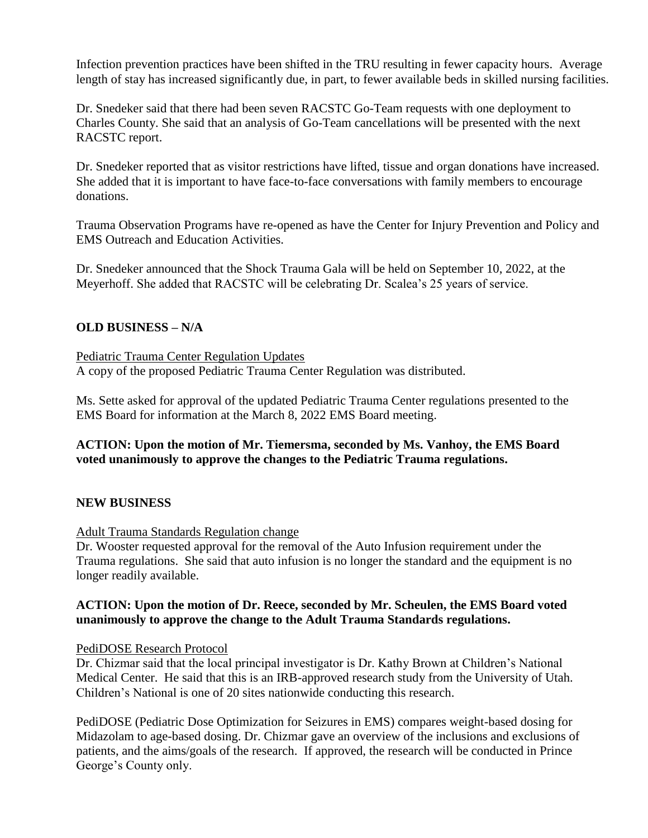Infection prevention practices have been shifted in the TRU resulting in fewer capacity hours. Average length of stay has increased significantly due, in part, to fewer available beds in skilled nursing facilities.

Dr. Snedeker said that there had been seven RACSTC Go-Team requests with one deployment to Charles County. She said that an analysis of Go-Team cancellations will be presented with the next RACSTC report.

Dr. Snedeker reported that as visitor restrictions have lifted, tissue and organ donations have increased. She added that it is important to have face-to-face conversations with family members to encourage donations.

Trauma Observation Programs have re-opened as have the Center for Injury Prevention and Policy and EMS Outreach and Education Activities.

Dr. Snedeker announced that the Shock Trauma Gala will be held on September 10, 2022, at the Meyerhoff. She added that RACSTC will be celebrating Dr. Scalea's 25 years of service.

# **OLD BUSINESS – N/A**

Pediatric Trauma Center Regulation Updates A copy of the proposed Pediatric Trauma Center Regulation was distributed.

Ms. Sette asked for approval of the updated Pediatric Trauma Center regulations presented to the EMS Board for information at the March 8, 2022 EMS Board meeting.

# **ACTION: Upon the motion of Mr. Tiemersma, seconded by Ms. Vanhoy, the EMS Board voted unanimously to approve the changes to the Pediatric Trauma regulations.**

### **NEW BUSINESS**

### Adult Trauma Standards Regulation change

Dr. Wooster requested approval for the removal of the Auto Infusion requirement under the Trauma regulations. She said that auto infusion is no longer the standard and the equipment is no longer readily available.

### **ACTION: Upon the motion of Dr. Reece, seconded by Mr. Scheulen, the EMS Board voted unanimously to approve the change to the Adult Trauma Standards regulations.**

### PediDOSE Research Protocol

Dr. Chizmar said that the local principal investigator is Dr. Kathy Brown at Children's National Medical Center. He said that this is an IRB-approved research study from the University of Utah. Children's National is one of 20 sites nationwide conducting this research.

PediDOSE (Pediatric Dose Optimization for Seizures in EMS) compares weight-based dosing for Midazolam to age-based dosing. Dr. Chizmar gave an overview of the inclusions and exclusions of patients, and the aims/goals of the research. If approved, the research will be conducted in Prince George's County only.